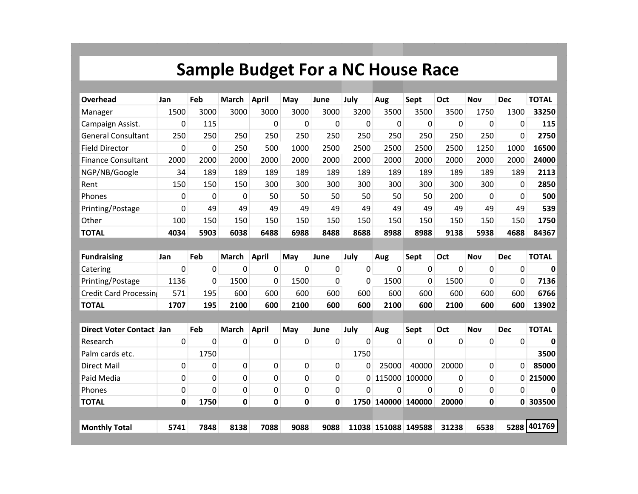## **Sample Budget For a NC House Race**

| Overhead                      | Jan  | Feb      | <b>March</b> | <b>April</b> | May         | June        | July     | Aug                 | Sept           | Oct          | <b>Nov</b>  | <b>Dec</b>   | <b>TOTAL</b> |
|-------------------------------|------|----------|--------------|--------------|-------------|-------------|----------|---------------------|----------------|--------------|-------------|--------------|--------------|
| Manager                       | 1500 | 3000     | 3000         | 3000         | 3000        | 3000        | 3200     | 3500                | 3500           | 3500         | 1750        | 1300         | 33250        |
| Campaign Assist.              | 0    | 115      |              | 0            | $\mathbf 0$ | $\mathbf 0$ | 0        | $\mathbf 0$         | $\mathbf 0$    | $\mathbf 0$  | 0           | $\Omega$     | 115          |
| <b>General Consultant</b>     | 250  | 250      | 250          | 250          | 250         | 250         | 250      | 250                 | 250            | 250          | 250         | $\Omega$     | 2750         |
| <b>Field Director</b>         | 0    | 0        | 250          | 500          | 1000        | 2500        | 2500     | 2500                | 2500           | 2500         | 1250        | 1000         | 16500        |
| <b>Finance Consultant</b>     | 2000 | 2000     | 2000         | 2000         | 2000        | 2000        | 2000     | 2000                | 2000           | 2000         | 2000        | 2000         | 24000        |
| NGP/NB/Google                 | 34   | 189      | 189          | 189          | 189         | 189         | 189      | 189                 | 189            | 189          | 189         | 189          | 2113         |
| Rent                          | 150  | 150      | 150          | 300          | 300         | 300         | 300      | 300                 | 300            | 300          | 300         | $\Omega$     | 2850         |
| Phones                        | 0    | $\Omega$ | $\Omega$     | 50           | 50          | 50          | 50       | 50                  | 50             | 200          | $\Omega$    | $\Omega$     | 500          |
| Printing/Postage              | 0    | 49       | 49           | 49           | 49          | 49          | 49       | 49                  | 49             | 49           | 49          | 49           | 539          |
| Other                         | 100  | 150      | 150          | 150          | 150         | 150         | 150      | 150                 | 150            | 150          | 150         | 150          | 1750         |
| <b>TOTAL</b>                  | 4034 | 5903     | 6038         | 6488         | 6988        | 8488        | 8688     | 8988                | 8988           | 9138         | 5938        | 4688         | 84367        |
|                               |      |          |              |              |             |             |          |                     |                |              |             |              |              |
| <b>Fundraising</b>            | Jan  | Feb      | <b>March</b> | <b>April</b> | May         | June        | July     | Aug                 | Sept           | Oct          | <b>Nov</b>  | <b>Dec</b>   | <b>TOTAL</b> |
| Catering                      | 0    | 0        | 0            | 0            | 0           | 0           | 0        | $\mathbf 0$         | 0              | $\mathbf{0}$ | 0           | $\Omega$     | 0            |
| Printing/Postage              | 1136 | 0        | 1500         | 0            | 1500        | 0           | 0        | 1500                | $\overline{0}$ | 1500         | 0           | $\Omega$     | 7136         |
| <b>Credit Card Processing</b> | 571  | 195      | 600          | 600          | 600         | 600         | 600      | 600                 | 600            | 600          | 600         | 600          | 6766         |
| <b>TOTAL</b>                  | 1707 | 195      | 2100         | 600          | 2100        | 600         | 600      | 2100                | 600            | 2100         | 600         | 600          | 13902        |
|                               |      |          |              |              |             |             |          |                     |                |              |             |              |              |
| <b>Direct Voter Contact</b>   | Jan  | Feb      | <b>March</b> | <b>April</b> | May         | June        | July     | Aug                 | Sept           | Oct          | <b>Nov</b>  | <b>Dec</b>   | <b>TOTAL</b> |
| Research                      | 0    | 0        | 0            | 0            | 0           | 0           | 0        | $\Omega$            | 0              | $\mathbf 0$  | $\mathbf 0$ | 0            | 0            |
| Palm cards etc.               |      | 1750     |              |              |             |             | 1750     |                     |                |              |             |              | 3500         |
| <b>Direct Mail</b>            | 0    | 0        | 0            | 0            | 0           | 0           | 0        | 25000               | 40000          | 20000        | 0           | $\Omega$     | 85000        |
| Paid Media                    | 0    | 0        | $\Omega$     | 0            | 0           | $\mathbf 0$ | 0        | 115000              | 100000         | $\Omega$     | 0           | 0            | 215000       |
| Phones                        | 0    | 0        | 0            | 0            | 0           | $\mathbf 0$ | $\Omega$ | $\Omega$            | $\Omega$       | $\Omega$     | 0           | $\Omega$     | $\bf{0}$     |
| <b>TOTAL</b>                  | 0    | 1750     | 0            | 0            | $\mathbf 0$ | $\mathbf 0$ |          | 1750 140000 140000  |                | 20000        | 0           | $\mathbf{0}$ | 303500       |
|                               |      |          |              |              |             |             |          |                     |                |              |             |              |              |
| <b>Monthly Total</b>          | 5741 | 7848     | 8138         | 7088         | 9088        | 9088        |          | 11038 151088 149588 |                | 31238        | 6538        |              | 5288 401769  |